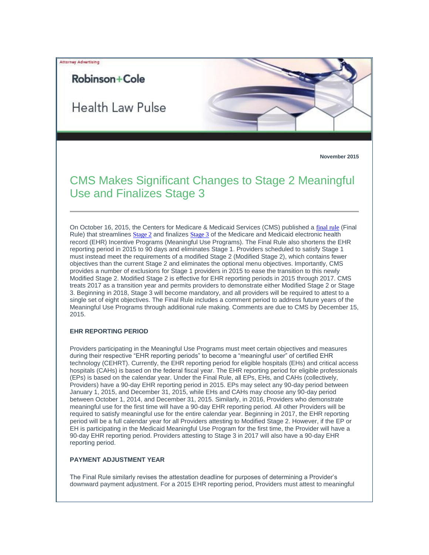# Attorney Advertising

# Robinson+Cole

Health Law Pulse



# CMS Makes Significant Changes to Stage 2 Meaningful Use and Finalizes Stage 3

On October 16, 2015, the Centers for Medicare & Medicaid Services (CMS) published a [final rule](http://t2806904.omkt.co/track.aspx?id=402|2AD478|6F10|54A3|D92|0|1595|1|70155A56&destination=http%3a%2f%2fwww.gpo.gov%2ffdsys%2fpkg%2fFR-2015-10-16%2fpdf%2f2015-25595.pdf&dchk=3E139169) (Final Rule) that streamlines [Stage 2](#page-1-0) and finalizes [Stage 3](#page-3-0) of the Medicare and Medicaid electronic health record (EHR) Incentive Programs (Meaningful Use Programs). The Final Rule also shortens the EHR reporting period in 2015 to 90 days and eliminates Stage 1. Providers scheduled to satisfy Stage 1 must instead meet the requirements of a modified Stage 2 (Modified Stage 2), which contains fewer objectives than the current Stage 2 and eliminates the optional menu objectives. Importantly, CMS provides a number of exclusions for Stage 1 providers in 2015 to ease the transition to this newly Modified Stage 2. Modified Stage 2 is effective for EHR reporting periods in 2015 through 2017. CMS treats 2017 as a transition year and permits providers to demonstrate either Modified Stage 2 or Stage 3. Beginning in 2018, Stage 3 will become mandatory, and all providers will be required to attest to a single set of eight objectives. The Final Rule includes a comment period to address future years of the Meaningful Use Programs through additional rule making. Comments are due to CMS by December 15, 2015.

## **EHR REPORTING PERIOD**

Providers participating in the Meaningful Use Programs must meet certain objectives and measures during their respective "EHR reporting periods" to become a "meaningful user" of certified EHR technology (CEHRT). Currently, the EHR reporting period for eligible hospitals (EHs) and critical access hospitals (CAHs) is based on the federal fiscal year. The EHR reporting period for eligible professionals (EPs) is based on the calendar year. Under the Final Rule, all EPs, EHs, and CAHs (collectively, Providers) have a 90-day EHR reporting period in 2015. EPs may select any 90-day period between January 1, 2015, and December 31, 2015, while EHs and CAHs may choose any 90-day period between October 1, 2014, and December 31, 2015. Similarly, in 2016, Providers who demonstrate meaningful use for the first time will have a 90-day EHR reporting period. All other Providers will be required to satisfy meaningful use for the entire calendar year. Beginning in 2017, the EHR reporting period will be a full calendar year for all Providers attesting to Modified Stage 2. However, if the EP or EH is participating in the Medicaid Meaningful Use Program for the first time, the Provider will have a 90-day EHR reporting period. Providers attesting to Stage 3 in 2017 will also have a 90-day EHR reporting period.

## **PAYMENT ADJUSTMENT YEAR**

The Final Rule similarly revises the attestation deadline for purposes of determining a Provider's downward payment adjustment. For a 2015 EHR reporting period, Providers must attest to meaningful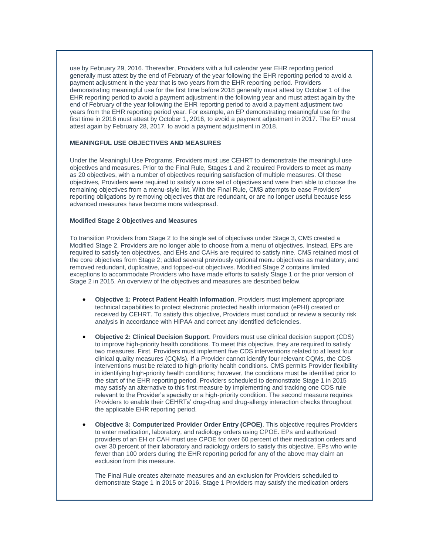use by February 29, 2016. Thereafter, Providers with a full calendar year EHR reporting period generally must attest by the end of February of the year following the EHR reporting period to avoid a payment adjustment in the year that is two years from the EHR reporting period. Providers demonstrating meaningful use for the first time before 2018 generally must attest by October 1 of the EHR reporting period to avoid a payment adjustment in the following year and must attest again by the end of February of the year following the EHR reporting period to avoid a payment adjustment two years from the EHR reporting period year. For example, an EP demonstrating meaningful use for the first time in 2016 must attest by October 1, 2016, to avoid a payment adjustment in 2017. The EP must attest again by February 28, 2017, to avoid a payment adjustment in 2018.

#### **MEANINGFUL USE OBJECTIVES AND MEASURES**

Under the Meaningful Use Programs, Providers must use CEHRT to demonstrate the meaningful use objectives and measures. Prior to the Final Rule, Stages 1 and 2 required Providers to meet as many as 20 objectives, with a number of objectives requiring satisfaction of multiple measures. Of these objectives, Providers were required to satisfy a core set of objectives and were then able to choose the remaining objectives from a menu-style list. With the Final Rule, CMS attempts to ease Providers' reporting obligations by removing objectives that are redundant, or are no longer useful because less advanced measures have become more widespread.

#### <span id="page-1-0"></span>**Modified Stage 2 Objectives and Measures**

To transition Providers from Stage 2 to the single set of objectives under Stage 3, CMS created a Modified Stage 2. Providers are no longer able to choose from a menu of objectives. Instead, EPs are required to satisfy ten objectives, and EHs and CAHs are required to satisfy nine. CMS retained most of the core objectives from Stage 2; added several previously optional menu objectives as mandatory; and removed redundant, duplicative, and topped-out objectives. Modified Stage 2 contains limited exceptions to accommodate Providers who have made efforts to satisfy Stage 1 or the prior version of Stage 2 in 2015. An overview of the objectives and measures are described below.

- **Objective 1: Protect Patient Health Information**. Providers must implement appropriate technical capabilities to protect electronic protected health information (ePHI) created or received by CEHRT. To satisfy this objective, Providers must conduct or review a security risk analysis in accordance with HIPAA and correct any identified deficiencies.
- **Objective 2: Clinical Decision Support**. Providers must use clinical decision support (CDS) to improve high-priority health conditions. To meet this objective, they are required to satisfy two measures. First, Providers must implement five CDS interventions related to at least four clinical quality measures (CQMs). If a Provider cannot identify four relevant CQMs, the CDS interventions must be related to high-priority health conditions. CMS permits Provider flexibility in identifying high-priority health conditions; however, the conditions must be identified prior to the start of the EHR reporting period. Providers scheduled to demonstrate Stage 1 in 2015 may satisfy an alternative to this first measure by implementing and tracking one CDS rule relevant to the Provider's specialty or a high-priority condition. The second measure requires Providers to enable their CEHRTs' drug-drug and drug-allergy interaction checks throughout the applicable EHR reporting period.
- **Objective 3: Computerized Provider Order Entry (CPOE)**. This objective requires Providers to enter medication, laboratory, and radiology orders using CPOE. EPs and authorized providers of an EH or CAH must use CPOE for over 60 percent of their medication orders and over 30 percent of their laboratory and radiology orders to satisfy this objective. EPs who write fewer than 100 orders during the EHR reporting period for any of the above may claim an exclusion from this measure.

The Final Rule creates alternate measures and an exclusion for Providers scheduled to demonstrate Stage 1 in 2015 or 2016. Stage 1 Providers may satisfy the medication orders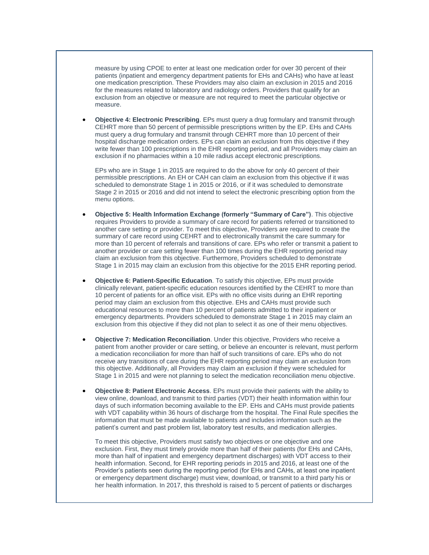measure by using CPOE to enter at least one medication order for over 30 percent of their patients (inpatient and emergency department patients for EHs and CAHs) who have at least one medication prescription. These Providers may also claim an exclusion in 2015 and 2016 for the measures related to laboratory and radiology orders. Providers that qualify for an exclusion from an objective or measure are not required to meet the particular objective or measure.

 **Objective 4: Electronic Prescribing**. EPs must query a drug formulary and transmit through CEHRT more than 50 percent of permissible prescriptions written by the EP. EHs and CAHs must query a drug formulary and transmit through CEHRT more than 10 percent of their hospital discharge medication orders. EPs can claim an exclusion from this objective if they write fewer than 100 prescriptions in the EHR reporting period, and all Providers may claim an exclusion if no pharmacies within a 10 mile radius accept electronic prescriptions.

EPs who are in Stage 1 in 2015 are required to do the above for only 40 percent of their permissible prescriptions. An EH or CAH can claim an exclusion from this objective if it was scheduled to demonstrate Stage 1 in 2015 or 2016, or if it was scheduled to demonstrate Stage 2 in 2015 or 2016 and did not intend to select the electronic prescribing option from the menu options.

- **Objective 5: Health Information Exchange (formerly "Summary of Care")**. This objective requires Providers to provide a summary of care record for patients referred or transitioned to another care setting or provider. To meet this objective, Providers are required to create the summary of care record using CEHRT and to electronically transmit the care summary for more than 10 percent of referrals and transitions of care. EPs who refer or transmit a patient to another provider or care setting fewer than 100 times during the EHR reporting period may claim an exclusion from this objective. Furthermore, Providers scheduled to demonstrate Stage 1 in 2015 may claim an exclusion from this objective for the 2015 EHR reporting period.
- **Objective 6: Patient-Specific Education**. To satisfy this objective, EPs must provide clinically relevant, patient-specific education resources identified by the CEHRT to more than 10 percent of patients for an office visit. EPs with no office visits during an EHR reporting period may claim an exclusion from this objective. EHs and CAHs must provide such educational resources to more than 10 percent of patients admitted to their inpatient or emergency departments. Providers scheduled to demonstrate Stage 1 in 2015 may claim an exclusion from this objective if they did not plan to select it as one of their menu objectives.
- **Objective 7: Medication Reconciliation**. Under this objective, Providers who receive a patient from another provider or care setting, or believe an encounter is relevant, must perform a medication reconciliation for more than half of such transitions of care. EPs who do not receive any transitions of care during the EHR reporting period may claim an exclusion from this objective. Additionally, all Providers may claim an exclusion if they were scheduled for Stage 1 in 2015 and were not planning to select the medication reconciliation menu objective.
- **Objective 8: Patient Electronic Access**. EPs must provide their patients with the ability to view online, download, and transmit to third parties (VDT) their health information within four days of such information becoming available to the EP. EHs and CAHs must provide patients with VDT capability within 36 hours of discharge from the hospital. The Final Rule specifies the information that must be made available to patients and includes information such as the patient's current and past problem list, laboratory test results, and medication allergies.

To meet this objective, Providers must satisfy two objectives or one objective and one exclusion. First, they must timely provide more than half of their patients (for EHs and CAHs, more than half of inpatient and emergency department discharges) with VDT access to their health information. Second, for EHR reporting periods in 2015 and 2016, at least one of the Provider's patients seen during the reporting period (for EHs and CAHs, at least one inpatient or emergency department discharge) must view, download, or transmit to a third party his or her health information. In 2017, this threshold is raised to 5 percent of patients or discharges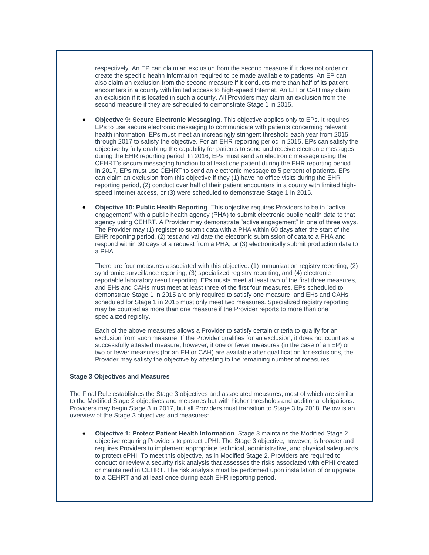respectively. An EP can claim an exclusion from the second measure if it does not order or create the specific health information required to be made available to patients. An EP can also claim an exclusion from the second measure if it conducts more than half of its patient encounters in a county with limited access to high-speed Internet. An EH or CAH may claim an exclusion if it is located in such a county. All Providers may claim an exclusion from the second measure if they are scheduled to demonstrate Stage 1 in 2015.

- **Objective 9: Secure Electronic Messaging**. This objective applies only to EPs. It requires EPs to use secure electronic messaging to communicate with patients concerning relevant health information. EPs must meet an increasingly stringent threshold each year from 2015 through 2017 to satisfy the objective. For an EHR reporting period in 2015, EPs can satisfy the objective by fully enabling the capability for patients to send and receive electronic messages during the EHR reporting period. In 2016, EPs must send an electronic message using the CEHRT's secure messaging function to at least one patient during the EHR reporting period. In 2017, EPs must use CEHRT to send an electronic message to 5 percent of patients. EPs can claim an exclusion from this objective if they (1) have no office visits during the EHR reporting period, (2) conduct over half of their patient encounters in a county with limited highspeed Internet access, or (3) were scheduled to demonstrate Stage 1 in 2015.
- **Objective 10: Public Health Reporting**. This objective requires Providers to be in "active engagement" with a public health agency (PHA) to submit electronic public health data to that agency using CEHRT. A Provider may demonstrate "active engagement" in one of three ways. The Provider may (1) register to submit data with a PHA within 60 days after the start of the EHR reporting period, (2) test and validate the electronic submission of data to a PHA and respond within 30 days of a request from a PHA, or (3) electronically submit production data to a PHA.

There are four measures associated with this objective: (1) immunization registry reporting, (2) syndromic surveillance reporting, (3) specialized registry reporting, and (4) electronic reportable laboratory result reporting. EPs musts meet at least two of the first three measures, and EHs and CAHs must meet at least three of the first four measures. EPs scheduled to demonstrate Stage 1 in 2015 are only required to satisfy one measure, and EHs and CAHs scheduled for Stage 1 in 2015 must only meet two measures. Specialized registry reporting may be counted as more than one measure if the Provider reports to more than one specialized registry.

Each of the above measures allows a Provider to satisfy certain criteria to qualify for an exclusion from such measure. If the Provider qualifies for an exclusion, it does not count as a successfully attested measure; however, if one or fewer measures (in the case of an EP) or two or fewer measures (for an EH or CAH) are available after qualification for exclusions, the Provider may satisfy the objective by attesting to the remaining number of measures.

#### <span id="page-3-0"></span>**Stage 3 Objectives and Measures**

The Final Rule establishes the Stage 3 objectives and associated measures, most of which are similar to the Modified Stage 2 objectives and measures but with higher thresholds and additional obligations. Providers may begin Stage 3 in 2017, but all Providers must transition to Stage 3 by 2018. Below is an overview of the Stage 3 objectives and measures:

 **Objective 1: Protect Patient Health Information**. Stage 3 maintains the Modified Stage 2 objective requiring Providers to protect ePHI. The Stage 3 objective, however, is broader and requires Providers to implement appropriate technical, administrative, and physical safeguards to protect ePHI. To meet this objective, as in Modified Stage 2, Providers are required to conduct or review a security risk analysis that assesses the risks associated with ePHI created or maintained in CEHRT. The risk analysis must be performed upon installation of or upgrade to a CEHRT and at least once during each EHR reporting period.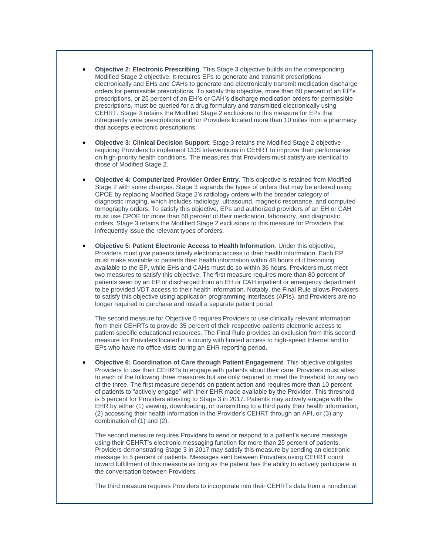- **Objective 2: Electronic Prescribing**. This Stage 3 objective builds on the corresponding Modified Stage 2 objective. It requires EPs to generate and transmit prescriptions electronically and EHs and CAHs to generate and electronically transmit medication discharge orders for permissible prescriptions. To satisfy this objective, more than 60 percent of an EP's prescriptions, or 25 percent of an EH's or CAH's discharge medication orders for permissible prescriptions, must be queried for a drug formulary and transmitted electronically using CEHRT. Stage 3 retains the Modified Stage 2 exclusions to this measure for EPs that infrequently write prescriptions and for Providers located more than 10 miles from a pharmacy that accepts electronic prescriptions.
- **Objective 3: Clinical Decision Support**. Stage 3 retains the Modified Stage 2 objective requiring Providers to implement CDS interventions in CEHRT to improve their performance on high-priority health conditions. The measures that Providers must satisfy are identical to those of Modified Stage 2.
- **Objective 4: Computerized Provider Order Entry**. This objective is retained from Modified Stage 2 with some changes. Stage 3 expands the types of orders that may be entered using CPOE by replacing Modified Stage 2's radiology orders with the broader category of diagnostic imaging, which includes radiology, ultrasound, magnetic resonance, and computed tomography orders. To satisfy this objective, EPs and authorized providers of an EH or CAH must use CPOE for more than 60 percent of their medication, laboratory, and diagnostic orders. Stage 3 retains the Modified Stage 2 exclusions to this measure for Providers that infrequently issue the relevant types of orders.
- **Objective 5: Patient Electronic Access to Health Information**. Under this objective, Providers must give patients timely electronic access to their health information. Each EP must make available to patients their health information within 48 hours of it becoming available to the EP, while EHs and CAHs must do so within 36 hours. Providers must meet two measures to satisfy this objective. The first measure requires more than 80 percent of patients seen by an EP or discharged from an EH or CAH inpatient or emergency department to be provided VDT access to their health information. Notably, the Final Rule allows Providers to satisfy this objective using application programming interfaces (APIs), and Providers are no longer required to purchase and install a separate patient portal.

The second measure for Objective 5 requires Providers to use clinically relevant information from their CEHRTs to provide 35 percent of their respective patients electronic access to patient-specific educational resources. The Final Rule provides an exclusion from this second measure for Providers located in a county with limited access to high-speed Internet and to EPs who have no office visits during an EHR reporting period.

 **Objective 6: Coordination of Care through Patient Engagement**. This objective obligates Providers to use their CEHRTs to engage with patients about their care. Providers must attest to each of the following three measures but are only required to meet the threshold for any two of the three. The first measure depends on patient action and requires more than 10 percent of patients to "actively engage" with their EHR made available by the Provider. This threshold is 5 percent for Providers attesting to Stage 3 in 2017. Patients may actively engage with the EHR by either (1) viewing, downloading, or transmitting to a third party their health information, (2) accessing their health information in the Provider's CEHRT through an API, or (3) any combination of (1) and (2).

The second measure requires Providers to send or respond to a patient's secure message using their CEHRT's electronic messaging function for more than 25 percent of patients. Providers demonstrating Stage 3 in 2017 may satisfy this measure by sending an electronic message to 5 percent of patients. Messages sent between Providers using CEHRT count toward fulfillment of this measure as long as the patient has the ability to actively participate in the conversation between Providers.

The third measure requires Providers to incorporate into their CEHRTs data from a nonclinical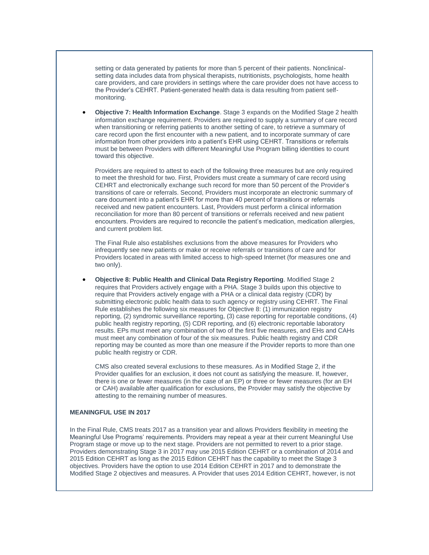setting or data generated by patients for more than 5 percent of their patients. Nonclinicalsetting data includes data from physical therapists, nutritionists, psychologists, home health care providers, and care providers in settings where the care provider does not have access to the Provider's CEHRT. Patient-generated health data is data resulting from patient selfmonitoring.

 **Objective 7: Health Information Exchange**. Stage 3 expands on the Modified Stage 2 health information exchange requirement. Providers are required to supply a summary of care record when transitioning or referring patients to another setting of care, to retrieve a summary of care record upon the first encounter with a new patient, and to incorporate summary of care information from other providers into a patient's EHR using CEHRT. Transitions or referrals must be between Providers with different Meaningful Use Program billing identities to count toward this objective.

Providers are required to attest to each of the following three measures but are only required to meet the threshold for two. First, Providers must create a summary of care record using CEHRT and electronically exchange such record for more than 50 percent of the Provider's transitions of care or referrals. Second, Providers must incorporate an electronic summary of care document into a patient's EHR for more than 40 percent of transitions or referrals received and new patient encounters. Last, Providers must perform a clinical information reconciliation for more than 80 percent of transitions or referrals received and new patient encounters. Providers are required to reconcile the patient's medication, medication allergies, and current problem list.

The Final Rule also establishes exclusions from the above measures for Providers who infrequently see new patients or make or receive referrals or transitions of care and for Providers located in areas with limited access to high-speed Internet (for measures one and two only).

 **Objective 8: Public Health and Clinical Data Registry Reporting**. Modified Stage 2 requires that Providers actively engage with a PHA. Stage 3 builds upon this objective to require that Providers actively engage with a PHA or a clinical data registry (CDR) by submitting electronic public health data to such agency or registry using CEHRT. The Final Rule establishes the following six measures for Objective 8: (1) immunization registry reporting, (2) syndromic surveillance reporting, (3) case reporting for reportable conditions, (4) public health registry reporting, (5) CDR reporting, and (6) electronic reportable laboratory results. EPs must meet any combination of two of the first five measures, and EHs and CAHs must meet any combination of four of the six measures. Public health registry and CDR reporting may be counted as more than one measure if the Provider reports to more than one public health registry or CDR.

CMS also created several exclusions to these measures. As in Modified Stage 2, if the Provider qualifies for an exclusion, it does not count as satisfying the measure. If, however, there is one or fewer measures (in the case of an EP) or three or fewer measures (for an EH or CAH) available after qualification for exclusions, the Provider may satisfy the objective by attesting to the remaining number of measures.

# **MEANINGFUL USE IN 2017**

In the Final Rule, CMS treats 2017 as a transition year and allows Providers flexibility in meeting the Meaningful Use Programs' requirements. Providers may repeat a year at their current Meaningful Use Program stage or move up to the next stage. Providers are not permitted to revert to a prior stage. Providers demonstrating Stage 3 in 2017 may use 2015 Edition CEHRT or a combination of 2014 and 2015 Edition CEHRT as long as the 2015 Edition CEHRT has the capability to meet the Stage 3 objectives. Providers have the option to use 2014 Edition CEHRT in 2017 and to demonstrate the Modified Stage 2 objectives and measures. A Provider that uses 2014 Edition CEHRT, however, is not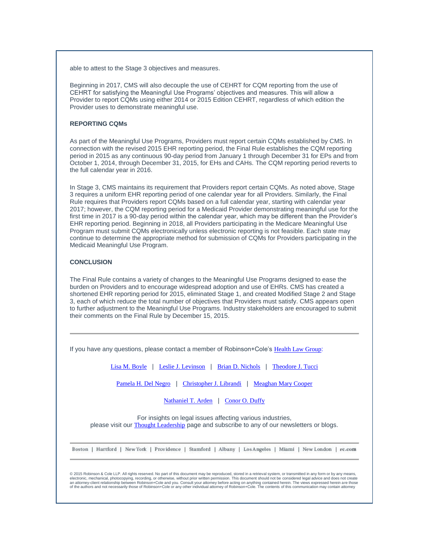able to attest to the Stage 3 objectives and measures.

Beginning in 2017, CMS will also decouple the use of CEHRT for CQM reporting from the use of CEHRT for satisfying the Meaningful Use Programs' objectives and measures. This will allow a Provider to report CQMs using either 2014 or 2015 Edition CEHRT, regardless of which edition the Provider uses to demonstrate meaningful use.

#### **REPORTING CQMs**

As part of the Meaningful Use Programs, Providers must report certain CQMs established by CMS. In connection with the revised 2015 EHR reporting period, the Final Rule establishes the CQM reporting period in 2015 as any continuous 90-day period from January 1 through December 31 for EPs and from October 1, 2014, through December 31, 2015, for EHs and CAHs. The CQM reporting period reverts to the full calendar year in 2016.

In Stage 3, CMS maintains its requirement that Providers report certain CQMs. As noted above, Stage 3 requires a uniform EHR reporting period of one calendar year for all Providers. Similarly, the Final Rule requires that Providers report CQMs based on a full calendar year, starting with calendar year 2017; however, the CQM reporting period for a Medicaid Provider demonstrating meaningful use for the first time in 2017 is a 90-day period within the calendar year, which may be different than the Provider's EHR reporting period. Beginning in 2018, all Providers participating in the Medicare Meaningful Use Program must submit CQMs electronically unless electronic reporting is not feasible. Each state may continue to determine the appropriate method for submission of CQMs for Providers participating in the Medicaid Meaningful Use Program.

#### **CONCLUSION**

The Final Rule contains a variety of changes to the Meaningful Use Programs designed to ease the burden on Providers and to encourage widespread adoption and use of EHRs. CMS has created a shortened EHR reporting period for 2015, eliminated Stage 1, and created Modified Stage 2 and Stage 3, each of which reduce the total number of objectives that Providers must satisfy. CMS appears open to further adjustment to the Meaningful Use Programs. Industry stakeholders are encouraged to submit their comments on the Final Rule by December 15, 2015.

If you have any questions, please contact a member of Robinson+Cole's [Health Law Group](http://t2806904.omkt.co/track.aspx?id=402|2AD478|6F10|54A3|D92|0|1596|1|70155A56&destination=http%3a%2f%2ft2806904.omkt.co%2ftrack.aspx%3fid%3d402%7c2AD478%7c6F10%7c53E0%7cB71%7c0%7cF2C%7c1%7c70155BF6%26destination%3dhttp%253a%252f%252fwww.rc.com%252fpractices%252fHealthLaw%252findex.cfm%253futm_source%253dVocus%2526utm_medium%253demail%2526utm_campaign%253dRobinson%252b%252526%252bCole%252bLLP%2526utm_content%253dConnecticut%252bHealth%252bLaw%252bLegislative%252bUpdate%26dchk%3d4C1CF6BE&dchk=13EE0EA8):

[Lisa M. Boyle](http://t2806904.omkt.co/track.aspx?id=402|2AD478|6F10|54A3|D92|0|1597|1|70155A56&destination=http%3a%2f%2ft2806904.omkt.co%2ftrack.aspx%3fid%3d402%7c2AD478%7c6F10%7c53E0%7cB71%7c0%7cF2D%7c1%7c70155BF6%26destination%3dhttp%253a%252f%252fwww.rc.com%252fpeople%252fLisaMBoyle.cfm%253futm_source%253dVocus%2526utm_medium%253demail%2526utm_campaign%253dRobinson%252b%252526%252bCole%252bLLP%2526utm_content%253dConnecticut%252bHealth%252bLaw%252bLegislative%252bUpdate%26dchk%3d46C24776&dchk=3A16E5AD) | [Leslie J. Levinson](http://t2806904.omkt.co/track.aspx?id=402|2AD478|6F10|54A3|D92|0|1598|1|70155A56&destination=http%3a%2f%2ft2806904.omkt.co%2ftrack.aspx%3fid%3d402%7c2AD478%7c6F10%7c53E0%7cB71%7c0%7cF2E%7c1%7c70155BF6%26destination%3dhttp%253a%252f%252fwww.rc.com%252fpeople%252fLeslieJLevinson.cfm%253futm_source%253dVocus%2526utm_medium%253demail%2526utm_campaign%253dRobinson%252b%252526%252bCole%252bLLP%2526utm_content%253dConnecticut%252bHealth%252bLaw%252bLegislative%252bUpdate%26dchk%3d323631B6&dchk=1FF16050) | [Brian D. Nichols](http://t2806904.omkt.co/track.aspx?id=402|2AD478|6F10|54A3|D92|0|1599|1|70155A56&destination=http%3a%2f%2ft2806904.omkt.co%2ftrack.aspx%3fid%3d402%7c2AD478%7c6F10%7c53E0%7cB71%7c0%7cF2F%7c1%7c70155BF6%26destination%3dhttp%253a%252f%252fwww.rc.com%252fpeople%252fBrianDNichols.cfm%253futm_source%253dVocus%2526utm_medium%253demail%2526utm_campaign%253dRobinson%252b%252526%252bCole%252bLLP%2526utm_content%253dConnecticut%252bHealth%252bLaw%252bLegislative%252bUpdate%26dchk%3d23DA6ADE&dchk=48F5C84F) | [Theodore J. Tucci](http://t2806904.omkt.co/track.aspx?id=402|2AD478|6F10|54A3|D92|0|159A|1|70155A56&destination=http%3a%2f%2ft2806904.omkt.co%2ftrack.aspx%3fid%3d402%7c2AD478%7c6F10%7c53E0%7cB71%7c0%7cF30%7c1%7c70155BF6%26destination%3dhttp%253a%252f%252fwww.rc.com%252fpeople%252fTheodoreJTucci.cfm%253futm_source%253dVocus%2526utm_medium%253demail%2526utm_campaign%253dRobinson%252b%252526%252bCole%252bLLP%2526utm_content%253dConnecticut%252bHealth%252bLaw%252bLegislative%252bUpdate%26dchk%3d40216ACC&dchk=741E2680)

[Pamela H. Del Negro](http://t2806904.omkt.co/track.aspx?id=402|2AD478|6F10|54A3|D92|0|159B|1|70155A56&destination=http%3a%2f%2ft2806904.omkt.co%2ftrack.aspx%3fid%3d402%7c2AD478%7c6F10%7c53E0%7cB71%7c0%7cF31%7c1%7c70155BF6%26destination%3dhttp%253a%252f%252fwww.rc.com%252fpeople%252fPamelaHDelNegro.cfm%253futm_source%253dVocus%2526utm_medium%253demail%2526utm_campaign%253dRobinson%252b%252526%252bCole%252bLLP%2526utm_content%253dConnecticut%252bHealth%252bLaw%252bLegislative%252bUpdate%26dchk%3d2D235D56&dchk=2F0BBCA1) | [Christopher J. Librandi](http://t2806904.omkt.co/track.aspx?id=402|2AD478|6F10|54A3|D92|0|159C|1|70155A56&destination=http%3a%2f%2ft2806904.omkt.co%2ftrack.aspx%3fid%3d402%7c2AD478%7c6F10%7c53E0%7cB71%7c0%7cF32%7c1%7c70155BF6%26destination%3dhttp%253a%252f%252fwww.rc.com%252fpeople%252fChristopherJLibrandi.cfm%253futm_source%253dVocus%2526utm_medium%253demail%2526utm_campaign%253dRobinson%252b%252526%252bCole%252bLLP%2526utm_content%253dConnecticut%252bHealth%252bLaw%252bLegislative%252bUpdate%26dchk%3d6935CD4F&dchk=193EE3FE) | [Meaghan Mary Cooper](http://t2806904.omkt.co/track.aspx?id=402|2AD478|6F10|54A3|D92|0|159D|1|70155A56&destination=http%3a%2f%2ft2806904.omkt.co%2ftrack.aspx%3fid%3d402%7c2AD478%7c6F10%7c53E0%7cB71%7c0%7cF33%7c1%7c70155BF6%26destination%3dhttp%253a%252f%252fwww.rc.com%252fpeople%252fMeaghanMaryCooper.cfm%253futm_source%253dVocus%2526utm_medium%253demail%2526utm_campaign%253dRobinson%252b%252526%252bCole%252bLLP%2526utm_content%253dConnecticut%252bHealth%252bLaw%252bLegislative%252bUpdate%26dchk%3d4CDC141E&dchk=7225D3B4)

[Nathaniel T. Arden](http://t2806904.omkt.co/track.aspx?id=402|2AD478|6F10|54A3|D92|0|159E|1|70155A56&destination=http%3a%2f%2ft2806904.omkt.co%2ftrack.aspx%3fid%3d402%7c2AD478%7c6F10%7c53E0%7cB71%7c0%7cF34%7c1%7c70155BF6%26destination%3dhttp%253a%252f%252fwww.rc.com%252fpeople%252fNathanielTArden.cfm%253futm_source%253dVocus%2526utm_medium%253demail%2526utm_campaign%253dRobinson%252b%252526%252bCole%252bLLP%2526utm_content%253dConnecticut%252bHealth%252bLaw%252bLegislative%252bUpdate%26dchk%3d2DC14D74&dchk=2CCEBF4) | [Conor O. Duffy](http://t2806904.omkt.co/track.aspx?id=402|2AD478|6F10|54A3|D92|0|159F|1|70155A56&destination=http%3a%2f%2ft2806904.omkt.co%2ftrack.aspx%3fid%3d402%7c2AD478%7c6F10%7c53E0%7cB71%7c0%7cF35%7c1%7c70155BF6%26destination%3dhttp%253a%252f%252fwww.rc.com%252fpeople%252fConorODuffy.cfm%253futm_source%253dVocus%2526utm_medium%253demail%2526utm_campaign%253dRobinson%252b%252526%252bCole%252bLLP%2526utm_content%253dConnecticut%252bHealth%252bLaw%252bLegislative%252bUpdate%26dchk%3d3EFFDB30&dchk=4ADD2F2F)

For insights on legal issues affecting various industries, please visit our [Thought Leadership](http://t2806904.omkt.co/track.aspx?id=402|2AD478|6F10|54A3|D92|0|15A0|1|70155A56&destination=http%3a%2f%2ft2806904.omkt.co%2ftrack.aspx%3fid%3d402%7c2AD478%7c6F10%7c53E0%7cB71%7c0%7cF36%7c1%7c70155BF6%26destination%3dhttp%253a%252f%252fwww.rc.com%252fsubscribe-now.cfm%253futm_source%253dVocus%2526utm_medium%253demail%2526utm_campaign%253dRobinson%252b%252526%252bCole%252bLLP%2526utm_content%253dConnecticut%252bHealth%252bLaw%252bLegislative%252bUpdate%26dchk%3d1725C2F3&dchk=51D50D0B) page and subscribe to any of our newsletters or blogs.

Boston | Hartford | New York | Providence | Stamford | Albany | Los Angeles | Miami | New London | rc.com

© 2015 Robinson & Cole LLP. All rights reserved. No part of this document may be reproduced, stored in a retrieval system, or transmitted in any form or by any means, electronic, mechanical, photocopying, recording, or otherwise, without prior written permission. This document should not be considered legal advice and does not create<br>an attorney-client relationship between Robinson+Col